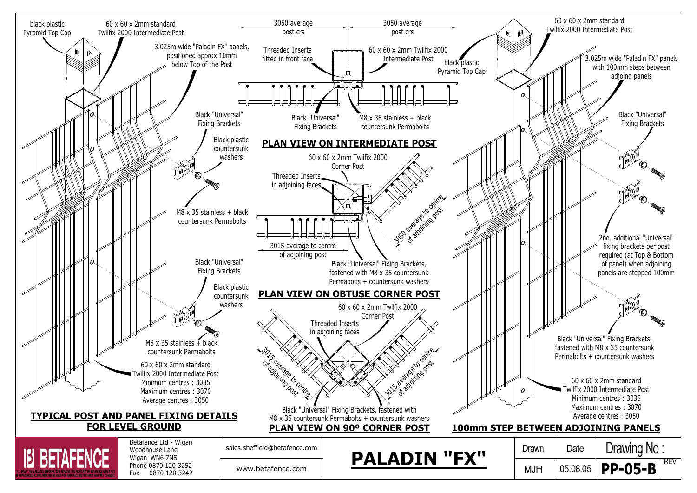